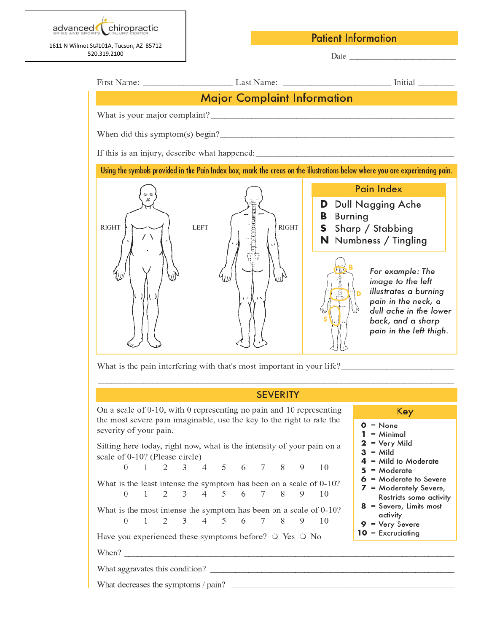

**Patient Information** 

|                                           |                                                                                                                                              | First Name: Last Name: Last Name: Last Name: Last Name: Last Name: Last Name: Last Name: Last Name: Last Name: Last Name: Last Name: Last Name: Last Name: Last Name: Last Name: Last Name: Last Name: Last Name: Last Name: L                                                                                                                                         |
|-------------------------------------------|----------------------------------------------------------------------------------------------------------------------------------------------|------------------------------------------------------------------------------------------------------------------------------------------------------------------------------------------------------------------------------------------------------------------------------------------------------------------------------------------------------------------------|
|                                           | <b>Major Complaint Information</b>                                                                                                           |                                                                                                                                                                                                                                                                                                                                                                        |
|                                           |                                                                                                                                              |                                                                                                                                                                                                                                                                                                                                                                        |
|                                           |                                                                                                                                              |                                                                                                                                                                                                                                                                                                                                                                        |
|                                           |                                                                                                                                              |                                                                                                                                                                                                                                                                                                                                                                        |
|                                           |                                                                                                                                              | Using the symbols provided in the Pain Index box, mark the areas on the illustrations below where you are experiencing pain.                                                                                                                                                                                                                                           |
| <b>RIGHT</b><br>11                        | <b>RIGHT</b><br><b>LEFT</b>                                                                                                                  | Pain Index<br>D Dull Nagging Ache<br><b>Burning</b><br>в<br><b>S</b> Sharp / Stabbing<br><b>N</b> Numbness / Tingling<br>For example: The<br>image to the left<br>illustrates a burning<br>D<br>pain in the neck, a<br>dull ache in the lower<br>back, and a sharp<br>pain in the left thigh.<br>What is the pain interfering with that's most important in your life? |
|                                           | <b>SEVERITY</b>                                                                                                                              |                                                                                                                                                                                                                                                                                                                                                                        |
| severity of your pain.                    | On a scale of 0-10, with 0 representing no pain and 10 representing<br>the most severe pain imaginable, use the key to the right to rate the | Key<br>$0 = None$<br>$1 =$ Minimal                                                                                                                                                                                                                                                                                                                                     |
| scale of 0-10? (Please circle)            | Sitting here today, right now, what is the intensity of your pain on a<br>0 1 2 3 4 5 6 7 8 9                                                | $2 = \text{Very Mild}$<br>$3 =$ Mild<br>$4 =$ Mild to Moderate<br>10<br>$5 =$ Moderate                                                                                                                                                                                                                                                                                 |
| $\sim$ 1<br>$\Omega$                      | What is the least intense the symptom has been on a scale of 0-10?<br>2 3 4 5 6 7 8<br>9                                                     | $6$ = Moderate to Severe<br>$7 =$ Moderately Severe,<br>10<br>Restricts some activity                                                                                                                                                                                                                                                                                  |
| $2^{\circ}$<br>$\theta$<br>$\overline{1}$ | What is the most intense the symptom has been on a scale of 0-10?<br>3 <sup>7</sup><br>$4 \quad$<br>5 6<br>8<br>7<br>9                       | $8 =$ Severe, Limits most<br>activity<br>10<br>$9 = \text{Very Severe}$<br>$10 = Excruciating$                                                                                                                                                                                                                                                                         |
|                                           | Have you experienced these symptoms before? $\circ$ Yes $\circ$ No                                                                           |                                                                                                                                                                                                                                                                                                                                                                        |
|                                           |                                                                                                                                              |                                                                                                                                                                                                                                                                                                                                                                        |
|                                           |                                                                                                                                              | What decreases the symptoms / pain?                                                                                                                                                                                                                                                                                                                                    |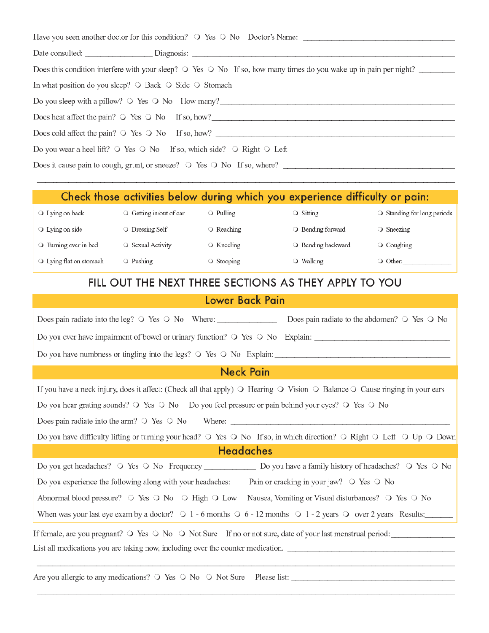| Have you seen another doctor for this condition? $\circ$ Yes $\circ$ No Doctor's Name:                                        |
|-------------------------------------------------------------------------------------------------------------------------------|
|                                                                                                                               |
| Does this condition interfere with your sleep? $\circ$ Yes $\circ$ No If so, how many times do you wake up in pain per night? |
| In what position do you sleep? $\circ$ Back $\circ$ Side $\circ$ Stomach                                                      |
| Do you sleep with a pillow? $\circ$ Yes $\circ$ No How many?                                                                  |
| Does heat affect the pain? $\circ$ Yes $\circ$ No If so, how?                                                                 |
|                                                                                                                               |
| Do you wear a heel lift? $\circ$ Yes $\circ$ No If so, which side? $\circ$ Right $\circ$ Left                                 |
| Does it cause pain to cough, grunt, or sneeze? $\circ$ Yes $\circ$ No If so, where?                                           |
|                                                                                                                               |

# Check those activities below during which you experience difficulty or pain:

| $\bigcirc$ Lying on back         | $\circ$ Getting in/out of car | $\circ$ Pulling  | ○ Sitting          | ○ Standing for long periods |
|----------------------------------|-------------------------------|------------------|--------------------|-----------------------------|
| $\bigcirc$ Lying on side         | ○ Dressing Self               | ○ Reaching       | ○ Bending forward  | ○ Sneezing                  |
| O Turning over in bed            | $\circ$ Sexual Activity       | ○ Kneeling       | ○ Bending backward | O Coughing                  |
| $\bigcirc$ Lying flat on stomach | O Pushing                     | $\circ$ Stooping | ○ Walking          | ○ Other:                    |

# FILL OUT THE NEXT THREE SECTIONS AS THEY APPLY TO YOU

## Lower Back Pain

| Does pain radiate to the abdomen? $\circ$ Yes $\circ$ No                                                                                                        |
|-----------------------------------------------------------------------------------------------------------------------------------------------------------------|
| Do you ever have impairment of bowel or urinary function? $\circ$ Yes $\circ$ No Explain:                                                                       |
| Do you have numbness or tingling into the legs? $\circ$ Yes $\circ$ No Explain:                                                                                 |
| <b>Neck Pain</b>                                                                                                                                                |
| If you have a neck injury, does it affect: (Check all that apply) $\bigcirc$ Hearing $\bigcirc$ Vision $\bigcirc$ Balance $\bigcirc$ Cause ringing in your ears |
| Do you hear grating sounds? $\circ$ Yes $\circ$ No Do you feel pressure or pain behind your eyes? $\circ$ Yes $\circ$ No                                        |
| Does pain radiate into the arm? $\circ$ Yes $\circ$ No Where:                                                                                                   |
| Do you have difficulty lifting or turning your head? $\circ$ Yes $\circ$ No If so, in which direction? $\circ$ Right $\circ$ Left $\circ$ Up $\circ$ Down       |
| <b>Headaches</b>                                                                                                                                                |
| Do you get headaches? O Yes O No Frequency Do you have a family history of headaches? O Yes O No                                                                |
| Pain or cracking in your jaw? $\circ$ Yes $\circ$ No<br>Do you experience the following along with your headaches:                                              |
| Abnormal blood pressure? $\circ$ Yes $\circ$ No $\circ$ High $\circ$ Low Nausea, Vomiting or Visual disturbances? $\circ$ Yes $\circ$ No                        |
| When was your last eye exam by a doctor? $\bigcirc$ 1 - 6 months $\bigcirc$ 6 - 12 months $\bigcirc$ 1 - 2 years $\bigcirc$ over 2 years Results:               |
| If female, are you pregnant? O Yes O No O Not Sure If no or not sure, date of your last menstrual period:                                                       |
|                                                                                                                                                                 |
|                                                                                                                                                                 |
|                                                                                                                                                                 |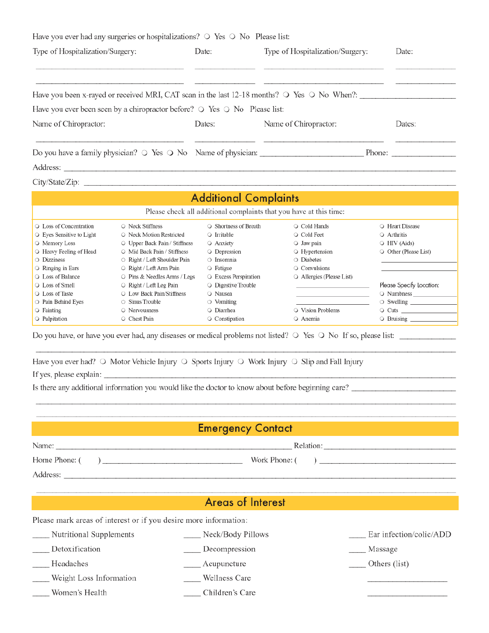| Have you ever had any surgeries or hospitalizations? $\circ$ Yes $\circ$ No Please list:                  |                                           |                       |        |  |
|-----------------------------------------------------------------------------------------------------------|-------------------------------------------|-----------------------|--------|--|
| Type of Hospitalization/Surgery:                                                                          | Date:<br>Type of Hospitalization/Surgery: |                       | Date:  |  |
| Have you been x-rayed or received MRI, CAT scan in the last 12-18 months? $\circ$ Yes $\circ$ No When?:   |                                           |                       |        |  |
| Have you ever been seen by a chiropractor before? $\circ$ Yes $\circ$ No Please list:                     |                                           |                       |        |  |
| Name of Chiropractor:                                                                                     | Dates:                                    | Name of Chiropractor: | Dates: |  |
| Do you have a family physician? $\circ$ Yes $\circ$ No Name of physician: $\qquad$ Phone: $\qquad$ Phone: |                                           |                       |        |  |
| Address:                                                                                                  |                                           |                       |        |  |
| City/State/Zip:                                                                                           |                                           |                       |        |  |

| <b>Additional Complaints</b>                                       |                                      |                             |                                 |                          |
|--------------------------------------------------------------------|--------------------------------------|-----------------------------|---------------------------------|--------------------------|
| Please check all additional complaints that you have at this time: |                                      |                             |                                 |                          |
| ○ Loss of Concentration                                            | $\circ$ Neck Stiffness               | $\circ$ Shortness of Breath | ○ Cold Hands                    | O Heart Disease          |
| $\bigcirc$ Eyes Sensitive to Light                                 | ○ Neck Motion Restricted             | $\circ$ Irritable           | ○ Cold Feet                     | ○ Arthritis              |
| O Memory Loss                                                      | $\circ$ Upper Back Pain / Stiffness  | O Anxiety                   | $\bigcirc$ Jaw pain             | $\circ$ HIV (Aids)       |
| ○ Heavy Feeling of Head                                            | $\bigcirc$ Mid Back Pain / Stiffness | O Depression                | ○ Hypertension                  | O Other (Please List)    |
| $\circ$ Dizziness                                                  | $\circ$ Right / Left Shoulder Pain   | ○ Insomnia                  | $\bigcirc$ Diabetes             |                          |
| $\circ$ Ringing in Ears                                            | $\circ$ Right / Left Arm Pain        | $\circ$ Fatigue             | $\circ$ Convulsions             |                          |
| ○ Loss of Balance                                                  | $\circ$ Pins & Needles Arms / Legs   | ○ Excess Perspiration       | $\circ$ Allergies (Please List) |                          |
| $\bigcirc$ Loss of Smell                                           | $\circ$ Right / Left Leg Pain        | $\circ$ Digestive Trouble   |                                 | Please Specify Location: |
| ○ Loss of Taste                                                    | ○ Low Back Pain/Stiffness            | ○ Nausea                    |                                 | ○ Numbness               |
| ○ Pain Behind Eyes                                                 | $\circ$ Sinus Trouble                | $\circ$ Vomiting            |                                 | $\circ$ Swelling _______ |
| $\circ$ Fainting                                                   | $\circ$ Nervousness                  | O Diarrhea                  | $\circ$ Vision Problems         |                          |
| $\bigcirc$ Palpitation                                             | ○ Chest Pain                         | ○ Constipation              | $\circ$ Anemia                  | $\circ$ Bruising         |

Do you have, or have you ever had, any diseases or medical problems not listed? O Yes O No If so, please list:

|                         | Have you ever had? $\circ$ Motor Vehicle Injury $\circ$ Sports Injury $\circ$ Work Injury $\circ$ Slip and Fall Injury |  |  |
|-------------------------|------------------------------------------------------------------------------------------------------------------------|--|--|
| If yes, please explain: |                                                                                                                        |  |  |

Is there any additional information you would like the doctor to know about before beginning care?

|          | <b>Emergency Contact</b> |
|----------|--------------------------|
| Name:    | Relation:                |
|          | Work Phone: $($ )        |
| Address: |                          |
|          |                          |

## **Areas of Interest**

Please mark areas of interest or if you desire more information:

| Nutritional Supplements | Neck/Body Pillows | Ear infection/colic/ADD |
|-------------------------|-------------------|-------------------------|
| Detoxification          | Decompression     | Massage                 |
| Headaches               | Acupuncture       | Others (list)           |
| Weight Loss Information | Wellness Care     |                         |
| Women's Health          | Children's Care   |                         |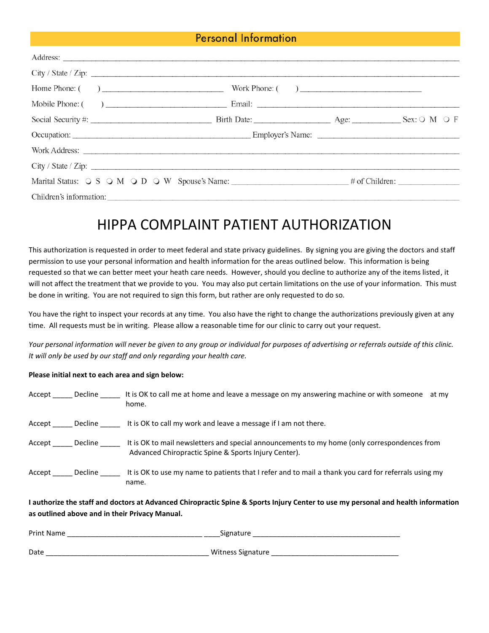### Personal Information

|  | City / State / Zip:                                                                                                   |  |
|--|-----------------------------------------------------------------------------------------------------------------------|--|
|  | Home Phone: $\begin{pmatrix} 1 & 1 \\ 0 & 1 \end{pmatrix}$ Work Phone: $\begin{pmatrix} 1 & 1 \\ 0 & 1 \end{pmatrix}$ |  |
|  |                                                                                                                       |  |
|  |                                                                                                                       |  |
|  |                                                                                                                       |  |
|  |                                                                                                                       |  |
|  | City / State / Zip:                                                                                                   |  |
|  |                                                                                                                       |  |
|  | Children's information:                                                                                               |  |

# HIPPA COMPLAINT PATIENT AUTHORIZATION

This authorization is requested in order to meet federal and state privacy guidelines. By signing you are giving the doctors and staff permission to use your personal information and health information for the areas outlined below. This information is being requested so that we can better meet your heath care needs. However, should you decline to authorize any of the items listed, it will not affect the treatment that we provide to you. You may also put certain limitations on the use of your information. This must be done in writing. You are not required to sign this form, but rather are only requested to do so.

You have the right to inspect your records at any time. You also have the right to change the authorizations previously given at any time. All requests must be in writing. Please allow a reasonable time for our clinic to carry out your request.

*Your personal information will never be given to any group or individual for purposes of advertising or referrals outside of this clinic. It will only be used by our staff and only regarding your health care.* 

#### **Please initial next to each area and sign below:**

| Accept | Decline | It is OK to call me at home and leave a message on my answering machine or with someone<br>at mv<br>home.                                            |
|--------|---------|------------------------------------------------------------------------------------------------------------------------------------------------------|
| Accept | Decline | It is OK to call my work and leave a message if I am not there.                                                                                      |
| Accept | Decline | It is OK to mail newsletters and special announcements to my home (only correspondences from<br>Advanced Chiropractic Spine & Sports Injury Center). |
| Accept | Decline | It is OK to use my name to patients that I refer and to mail a thank you card for referrals using my<br>name.                                        |

**I authorize the staff and doctors at Advanced Chiropractic Spine & Sports Injury Center to use my personal and health information as outlined above and in their Privacy Manual.**

| Print Name | Signature         |
|------------|-------------------|
|            |                   |
| Date       | Witness Signature |
|            |                   |